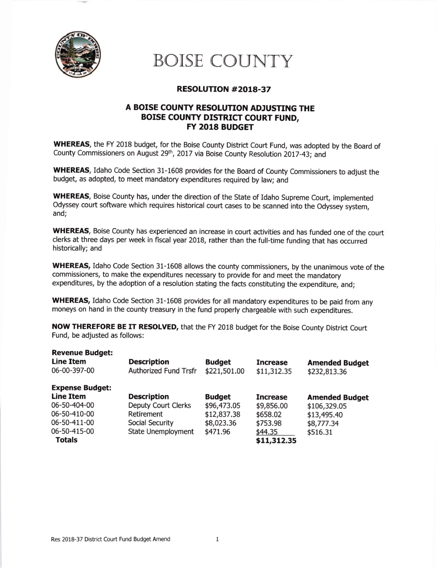

## BOISE COUNTY

## RESOLUTION #2OL8-37

## A BOISE COUNTY RESOLUTION ADJUSTING THE BOISE COUNTY DISTRICT COURT FUND, FY 2018 BUDGET

WHEREAS, the FY 2018 budget, for the Boise County District Court Fund, was adopted by the Board of County Commissioners on August 29<sup>th</sup>, 2017 via Boise County Resolution 2017-43; and

WHEREAS, Idaho Code Section 31-1608 provides for the Board of County Commissioners to adjust the budget, as adopted, to meet mandatory expenditures required by law; and

WHEREAS, Boise County has, under the direction of the State of Idaho Supreme Court, implemented Odyssey court software which requires historical court cases to be scanned into the Odyssey system, and;

WHEREAS, Boise County has experienced an increase in court activities and has funded one of the court clerks at three days per week in fiscal year 2018, rather than the full-time funding that has occurred historically; and

WHEREAS, Idaho Code Section 31-1608 allows the county commissioners, by the unanimous vote of the commissioners, to make the expenditures necessary to provide for and meet the mandatory expenditures, by the adoption of a resolution stating the facts constituting the expenditure, and;

WHEREAS, Idaho Code Section 31-1608 provides for all mandatory expenditures to be paid from any moneys on hand in the county treasury in the fund properly chargeable with such expenditures.

NOW THEREFORE BE IT RESOLVED, that the FY 2018 budget for the Boise County District Court Fund, be adjusted as follows:

| <b>Revenue Budget:</b><br><b>Line Item</b><br>06-00-397-00 | <b>Description</b><br><b>Authorized Fund Trsfr</b> | <b>Budget</b><br>\$221,501.00 | <b>Increase</b><br>\$11,312.35 | <b>Amended Budget</b><br>\$232,813.36 |
|------------------------------------------------------------|----------------------------------------------------|-------------------------------|--------------------------------|---------------------------------------|
| <b>Expense Budget:</b>                                     |                                                    |                               |                                |                                       |
| <b>Line Item</b>                                           | <b>Description</b>                                 | <b>Budget</b>                 | <b>Increase</b>                | <b>Amended Budget</b>                 |
| 06-50-404-00                                               | <b>Deputy Court Clerks</b>                         | \$96,473.05                   | \$9,856.00                     | \$106,329.05                          |
| 06-50-410-00                                               | Retirement                                         | \$12,837.38                   | \$658.02                       | \$13,495.40                           |
| 06-50-411-00                                               | Social Security                                    | \$8,023.36                    | \$753.98                       | \$8,777.34                            |
| 06-50-415-00                                               | <b>State Unemployment</b>                          | \$471.96                      | \$44.35                        | \$516.31                              |
| <b>Totals</b>                                              |                                                    |                               | \$11,312.35                    |                                       |